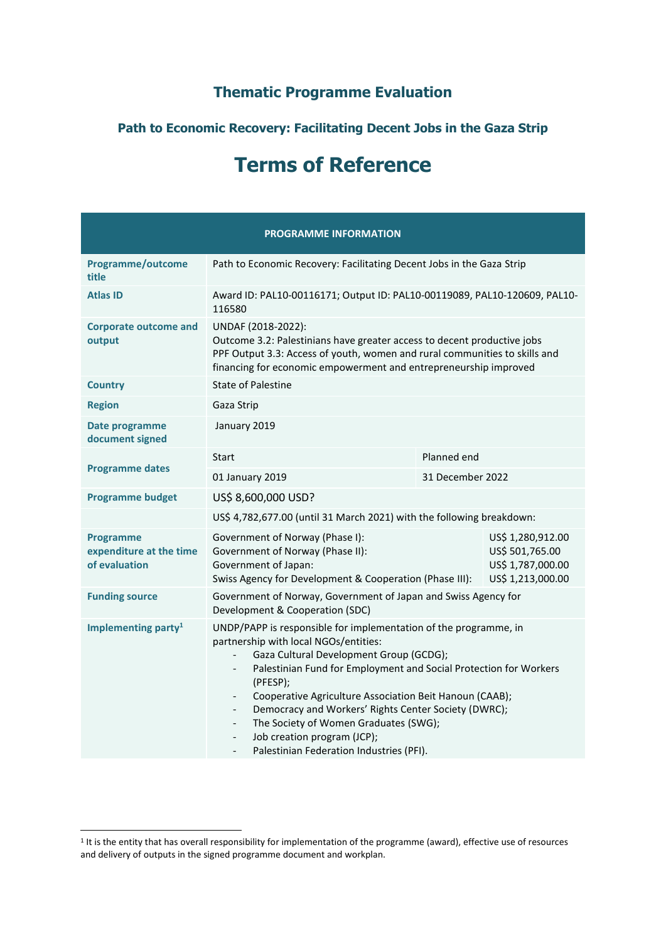# **Thematic Programme Evaluation**

## **Path to Economic Recovery: Facilitating Decent Jobs in the Gaza Strip**

# **Terms of Reference**

|                                                              | <b>PROGRAMME INFORMATION</b>                                                                                                                                                                                                                                                                                                                                                                                                                                                                                                                                     |             |                                                                                |  |  |
|--------------------------------------------------------------|------------------------------------------------------------------------------------------------------------------------------------------------------------------------------------------------------------------------------------------------------------------------------------------------------------------------------------------------------------------------------------------------------------------------------------------------------------------------------------------------------------------------------------------------------------------|-------------|--------------------------------------------------------------------------------|--|--|
| Programme/outcome<br>title                                   | Path to Economic Recovery: Facilitating Decent Jobs in the Gaza Strip                                                                                                                                                                                                                                                                                                                                                                                                                                                                                            |             |                                                                                |  |  |
| <b>Atlas ID</b>                                              | Award ID: PAL10-00116171; Output ID: PAL10-00119089, PAL10-120609, PAL10-<br>116580                                                                                                                                                                                                                                                                                                                                                                                                                                                                              |             |                                                                                |  |  |
| <b>Corporate outcome and</b><br>output                       | UNDAF (2018-2022):<br>Outcome 3.2: Palestinians have greater access to decent productive jobs<br>PPF Output 3.3: Access of youth, women and rural communities to skills and<br>financing for economic empowerment and entrepreneurship improved                                                                                                                                                                                                                                                                                                                  |             |                                                                                |  |  |
| <b>Country</b>                                               | <b>State of Palestine</b>                                                                                                                                                                                                                                                                                                                                                                                                                                                                                                                                        |             |                                                                                |  |  |
| <b>Region</b>                                                | Gaza Strip                                                                                                                                                                                                                                                                                                                                                                                                                                                                                                                                                       |             |                                                                                |  |  |
| Date programme<br>document signed                            | January 2019                                                                                                                                                                                                                                                                                                                                                                                                                                                                                                                                                     |             |                                                                                |  |  |
| <b>Programme dates</b>                                       | Start                                                                                                                                                                                                                                                                                                                                                                                                                                                                                                                                                            | Planned end |                                                                                |  |  |
|                                                              | 31 December 2022<br>01 January 2019                                                                                                                                                                                                                                                                                                                                                                                                                                                                                                                              |             |                                                                                |  |  |
| <b>Programme budget</b>                                      | US\$ 8,600,000 USD?                                                                                                                                                                                                                                                                                                                                                                                                                                                                                                                                              |             |                                                                                |  |  |
|                                                              | US\$ 4,782,677.00 (until 31 March 2021) with the following breakdown:                                                                                                                                                                                                                                                                                                                                                                                                                                                                                            |             |                                                                                |  |  |
| <b>Programme</b><br>expenditure at the time<br>of evaluation | Government of Norway (Phase I):<br>Government of Norway (Phase II):<br>Government of Japan:<br>Swiss Agency for Development & Cooperation (Phase III):                                                                                                                                                                                                                                                                                                                                                                                                           |             | US\$ 1,280,912.00<br>US\$ 501,765.00<br>US\$ 1,787,000.00<br>US\$ 1,213,000.00 |  |  |
| <b>Funding source</b>                                        | Government of Norway, Government of Japan and Swiss Agency for<br>Development & Cooperation (SDC)                                                                                                                                                                                                                                                                                                                                                                                                                                                                |             |                                                                                |  |  |
| Implementing party <sup>1</sup>                              | UNDP/PAPP is responsible for implementation of the programme, in<br>partnership with local NGOs/entities:<br>Gaza Cultural Development Group (GCDG);<br>Palestinian Fund for Employment and Social Protection for Workers<br>(PFESP);<br>Cooperative Agriculture Association Beit Hanoun (CAAB);<br>Democracy and Workers' Rights Center Society (DWRC);<br>The Society of Women Graduates (SWG);<br>$\overline{\phantom{0}}$<br>Job creation program (JCP);<br>$\overline{\phantom{0}}$<br>Palestinian Federation Industries (PFI).<br>$\overline{\phantom{a}}$ |             |                                                                                |  |  |

<sup>&</sup>lt;sup>1</sup> It is the entity that has overall responsibility for implementation of the programme (award), effective use of resources and delivery of outputs in the signed programme document and workplan.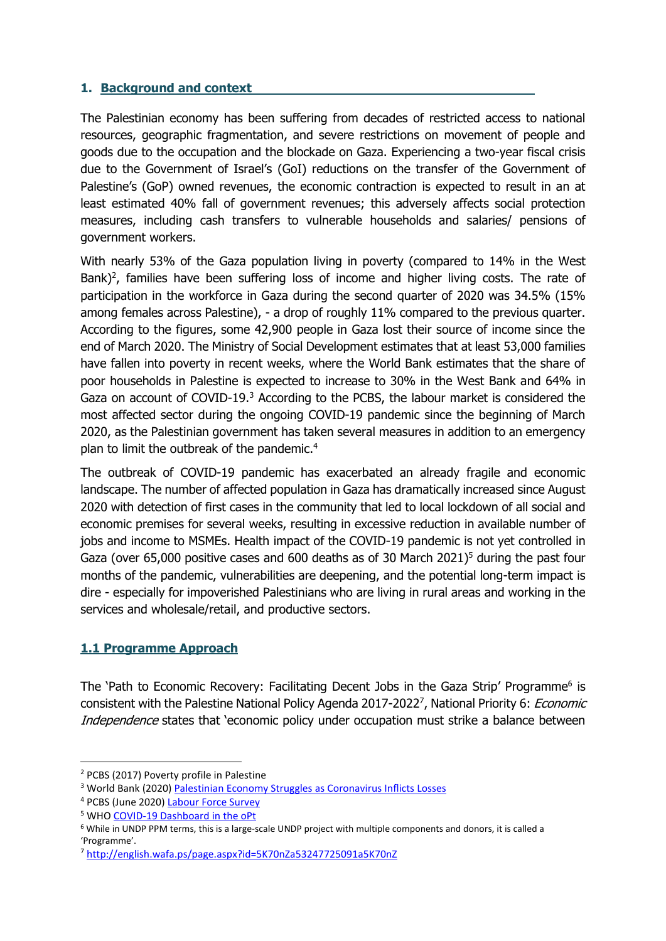#### **1. Background and context**

The Palestinian economy has been suffering from decades of restricted access to national resources, geographic fragmentation, and severe restrictions on movement of people and goods due to the occupation and the blockade on Gaza. Experiencing a two-year fiscal crisis due to the Government of Israel's (GoI) reductions on the transfer of the Government of Palestine's (GoP) owned revenues, the economic contraction is expected to result in an at least estimated 40% fall of government revenues; this adversely affects social protection measures, including cash transfers to vulnerable households and salaries/ pensions of government workers.

With nearly 53% of the Gaza population living in poverty (compared to 14% in the West Bank)<sup>2</sup>, families have been suffering loss of income and higher living costs. The rate of participation in the workforce in Gaza during the second quarter of 2020 was 34.5% (15% among females across Palestine), - a drop of roughly 11% compared to the previous quarter. According to the figures, some 42,900 people in Gaza lost their source of income since the end of March 2020. The Ministry of Social Development estimates that at least 53,000 families have fallen into poverty in recent weeks, where the World Bank estimates that the share of poor households in Palestine is expected to increase to 30% in the West Bank and 64% in Gaza on account of COVID-19.<sup>3</sup> According to the PCBS, the labour market is considered the most affected sector during the ongoing COVID-19 pandemic since the beginning of March 2020, as the Palestinian government has taken several measures in addition to an emergency plan to limit the outbreak of the pandemic.<sup>4</sup>

The outbreak of COVID-19 pandemic has exacerbated an already fragile and economic landscape. The number of affected population in Gaza has dramatically increased since August 2020 with detection of first cases in the community that led to local lockdown of all social and economic premises for several weeks, resulting in excessive reduction in available number of jobs and income to MSMEs. Health impact of the COVID-19 pandemic is not yet controlled in Gaza (over 65,000 positive cases and 600 deaths as of 30 March 2021)<sup>5</sup> during the past four months of the pandemic, vulnerabilities are deepening, and the potential long-term impact is dire - especially for impoverished Palestinians who are living in rural areas and working in the services and wholesale/retail, and productive sectors.

## **1.1 Programme Approach**

The 'Path to Economic Recovery: Facilitating Decent Jobs in the Gaza Strip' Programme<sup>6</sup> is consistent with the Palestine National Policy Agenda 2017-2022<sup>7</sup>, National Priority 6: *Economic* Independence states that 'economic policy under occupation must strike a balance between

<sup>2</sup> PCBS (2017) Poverty profile in Palestine

<sup>3</sup> World Bank (2020) [Palestinian Economy Struggles as Coronavirus Inflicts Losses](https://www.worldbank.org/en/news/press-release/2020/06/01/palestinian-economy-struggles-as-coronavirus-inflicts-losses)

<sup>4</sup> PCBS (June 2020) [Labour Force Survey](http://www.pcbs.gov.ps/site/512/default.aspx?lang=en&ItemID=3809)

<sup>5</sup> WH[O COVID-19 Dashboard in the oPt](https://app.powerbi.com/view?r=eyJrIjoiODJlYWM1YTEtNDAxZS00OTFlLThkZjktNDA1ODY2OGQ3NGJkIiwidCI6ImY2MTBjMGI3LWJkMjQtNGIzOS04MTBiLTNkYzI4MGFmYjU5MCIsImMiOjh9)

<sup>6</sup> While in UNDP PPM terms, this is a large-scale UNDP project with multiple components and donors, it is called a 'Programme'.

<sup>7</sup> <http://english.wafa.ps/page.aspx?id=5K70nZa53247725091a5K70nZ>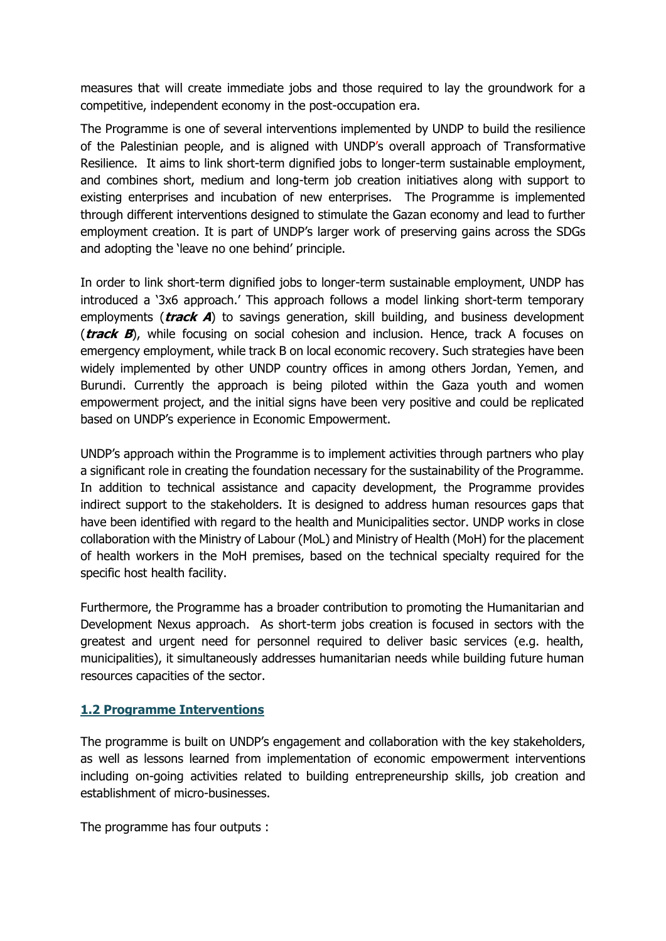measures that will create immediate jobs and those required to lay the groundwork for a competitive, independent economy in the post-occupation era.

The Programme is one of several interventions implemented by UNDP to build the resilience of the Palestinian people, and is aligned with UNDP's overall approach of Transformative Resilience. It aims to link short-term dignified jobs to longer-term sustainable employment, and combines short, medium and long-term job creation initiatives along with support to existing enterprises and incubation of new enterprises. The Programme is implemented through different interventions designed to stimulate the Gazan economy and lead to further employment creation. It is part of UNDP's larger work of preserving gains across the SDGs and adopting the 'leave no one behind' principle.

In order to link short-term dignified jobs to longer-term sustainable employment, UNDP has introduced a '3x6 approach.' This approach follows a model linking short-term temporary employments (**track A**) to savings generation, skill building, and business development (**track B**), while focusing on social cohesion and inclusion. Hence, track A focuses on emergency employment, while track B on local economic recovery. Such strategies have been widely implemented by other UNDP country offices in among others Jordan, Yemen, and Burundi. Currently the approach is being piloted within the Gaza youth and women empowerment project, and the initial signs have been very positive and could be replicated based on UNDP's experience in Economic Empowerment.

UNDP's approach within the Programme is to implement activities through partners who play a significant role in creating the foundation necessary for the sustainability of the Programme. In addition to technical assistance and capacity development, the Programme provides indirect support to the stakeholders. It is designed to address human resources gaps that have been identified with regard to the health and Municipalities sector. UNDP works in close collaboration with the Ministry of Labour (MoL) and Ministry of Health (MoH) for the placement of health workers in the MoH premises, based on the technical specialty required for the specific host health facility.

Furthermore, the Programme has a broader contribution to promoting the Humanitarian and Development Nexus approach. As short-term jobs creation is focused in sectors with the greatest and urgent need for personnel required to deliver basic services (e.g. health, municipalities), it simultaneously addresses humanitarian needs while building future human resources capacities of the sector.

#### **1.2 Programme Interventions**

The programme is built on UNDP's engagement and collaboration with the key stakeholders, as well as lessons learned from implementation of economic empowerment interventions including on-going activities related to building entrepreneurship skills, job creation and establishment of micro-businesses.

The programme has four outputs :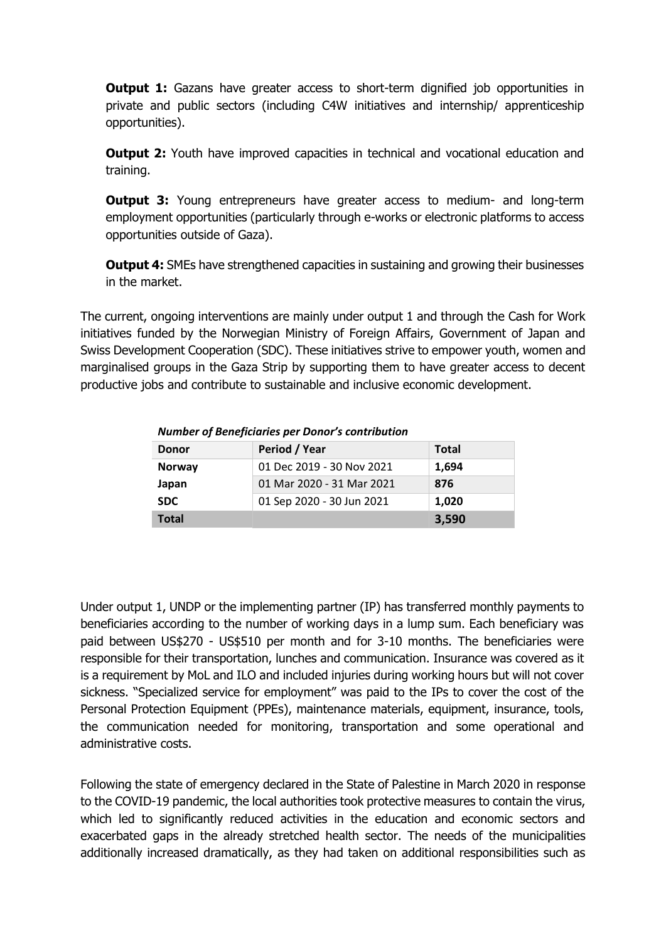**Output 1:** Gazans have greater access to short-term dignified job opportunities in private and public sectors (including C4W initiatives and internship/ apprenticeship opportunities).

**Output 2:** Youth have improved capacities in technical and vocational education and training.

**Output 3:** Young entrepreneurs have greater access to medium- and long-term employment opportunities (particularly through e-works or electronic platforms to access opportunities outside of Gaza).

**Output 4:** SMEs have strengthened capacities in sustaining and growing their businesses in the market.

The current, ongoing interventions are mainly under output 1 and through the Cash for Work initiatives funded by the Norwegian Ministry of Foreign Affairs, Government of Japan and Swiss Development Cooperation (SDC). These initiatives strive to empower youth, women and marginalised groups in the Gaza Strip by supporting them to have greater access to decent productive jobs and contribute to sustainable and inclusive economic development.

| <b>Donor</b>  | Period / Year             | <b>Total</b> |
|---------------|---------------------------|--------------|
| <b>Norway</b> | 01 Dec 2019 - 30 Nov 2021 | 1,694        |
| Japan         | 01 Mar 2020 - 31 Mar 2021 | 876          |
| <b>SDC</b>    | 01 Sep 2020 - 30 Jun 2021 | 1,020        |
| <b>Total</b>  |                           | 3,590        |

*Number of Beneficiaries per Donor's contribution*

Under output 1, UNDP or the implementing partner (IP) has transferred monthly payments to beneficiaries according to the number of working days in a lump sum. Each beneficiary was paid between US\$270 - US\$510 per month and for 3-10 months. The beneficiaries were responsible for their transportation, lunches and communication. Insurance was covered as it is a requirement by MoL and ILO and included injuries during working hours but will not cover sickness. "Specialized service for employment" was paid to the IPs to cover the cost of the Personal Protection Equipment (PPEs), maintenance materials, equipment, insurance, tools, the communication needed for monitoring, transportation and some operational and administrative costs.

Following the state of emergency declared in the State of Palestine in March 2020 in response to the COVID-19 pandemic, the local authorities took protective measures to contain the virus, which led to significantly reduced activities in the education and economic sectors and exacerbated gaps in the already stretched health sector. The needs of the municipalities additionally increased dramatically, as they had taken on additional responsibilities such as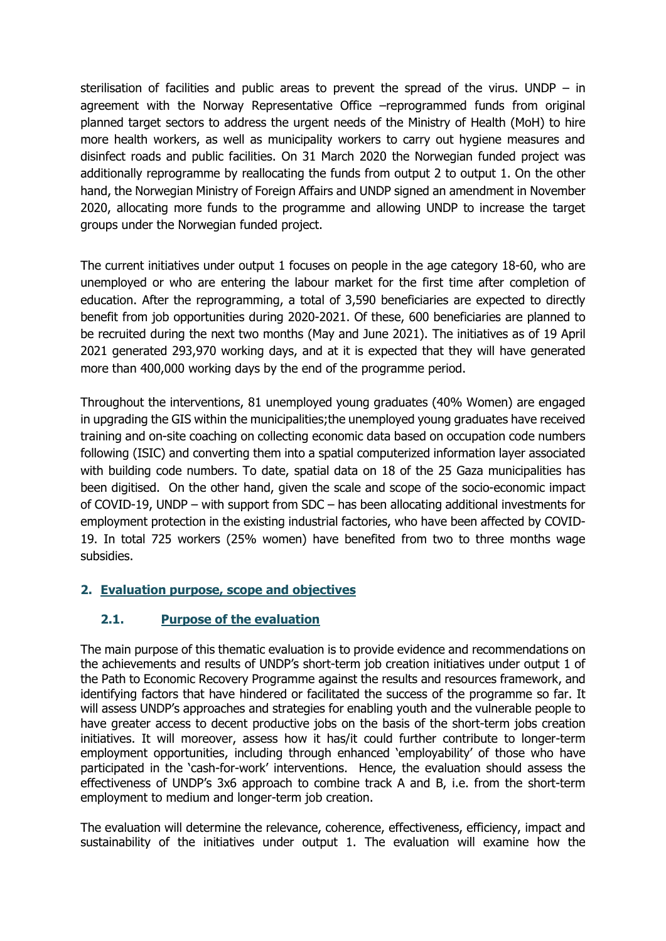sterilisation of facilities and public areas to prevent the spread of the virus. UNDP – in agreement with the Norway Representative Office –reprogrammed funds from original planned target sectors to address the urgent needs of the Ministry of Health (MoH) to hire more health workers, as well as municipality workers to carry out hygiene measures and disinfect roads and public facilities. On 31 March 2020 the Norwegian funded project was additionally reprogramme by reallocating the funds from output 2 to output 1. On the other hand, the Norwegian Ministry of Foreign Affairs and UNDP signed an amendment in November 2020, allocating more funds to the programme and allowing UNDP to increase the target groups under the Norwegian funded project.

The current initiatives under output 1 focuses on people in the age category 18-60, who are unemployed or who are entering the labour market for the first time after completion of education. After the reprogramming, a total of 3,590 beneficiaries are expected to directly benefit from job opportunities during 2020-2021. Of these, 600 beneficiaries are planned to be recruited during the next two months (May and June 2021). The initiatives as of 19 April 2021 generated 293,970 working days, and at it is expected that they will have generated more than 400,000 working days by the end of the programme period.

Throughout the interventions, 81 unemployed young graduates (40% Women) are engaged in upgrading the GIS within the municipalities;the unemployed young graduates have received training and on-site coaching on collecting economic data based on occupation code numbers following (ISIC) and converting them into a spatial computerized information layer associated with building code numbers. To date, spatial data on 18 of the 25 Gaza municipalities has been digitised. On the other hand, given the scale and scope of the socio-economic impact of COVID-19, UNDP – with support from SDC – has been allocating additional investments for employment protection in the existing industrial factories, who have been affected by COVID-19. In total 725 workers (25% women) have benefited from two to three months wage subsidies.

## **2. Evaluation purpose, scope and objectives**

#### **2.1. Purpose of the evaluation**

The main purpose of this thematic evaluation is to provide evidence and recommendations on the achievements and results of UNDP's short-term job creation initiatives under output 1 of the Path to Economic Recovery Programme against the results and resources framework, and identifying factors that have hindered or facilitated the success of the programme so far. It will assess UNDP's approaches and strategies for enabling youth and the vulnerable people to have greater access to decent productive jobs on the basis of the short-term jobs creation initiatives. It will moreover, assess how it has/it could further contribute to longer-term employment opportunities, including through enhanced 'employability' of those who have participated in the 'cash-for-work' interventions. Hence, the evaluation should assess the effectiveness of UNDP's 3x6 approach to combine track A and B, i.e. from the short-term employment to medium and longer-term job creation.

The evaluation will determine the relevance, coherence, effectiveness, efficiency, impact and sustainability of the initiatives under output 1. The evaluation will examine how the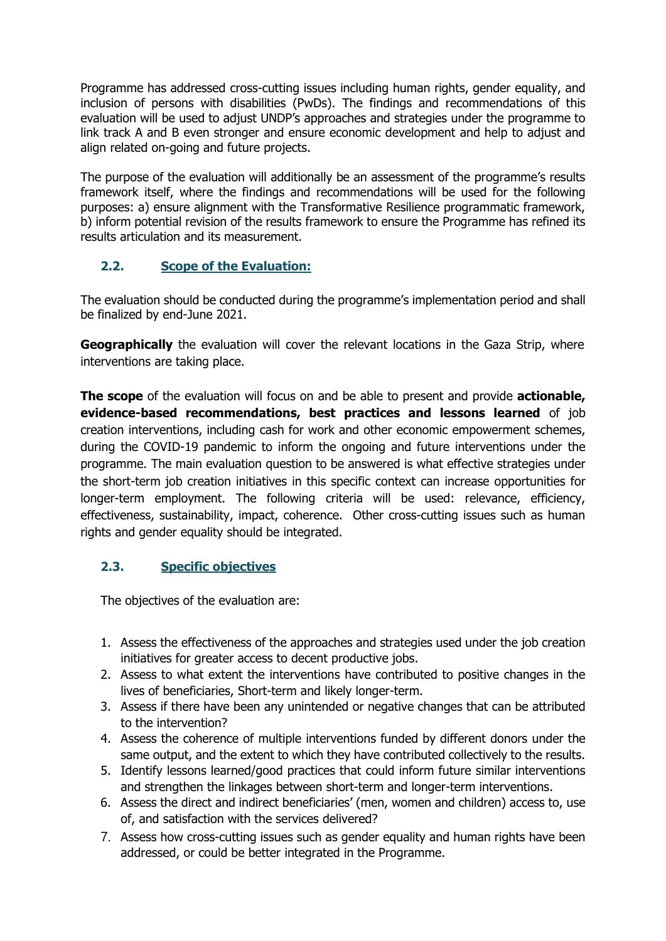Programme has addressed cross-cutting issues including human rights, gender equality, and inclusion of persons with disabilities (PwDs). The findings and recommendations of this evaluation will be used to adjust UNDP's approaches and strategies under the programme to link track A and B even stronger and ensure economic development and help to adjust and align related on-going and future projects.

The purpose of the evaluation will additionally be an assessment of the programme's results framework itself, where the findings and recommendations will be used for the following purposes: a) ensure alignment with the Transformative Resilience programmatic framework, b) inform potential revision of the results framework to ensure the Programme has refined its results articulation and its measurement.

## **2.2. Scope of the Evaluation:**

The evaluation should be conducted during the programme's implementation period and shall be finalized by end-June 2021.

**Geographically** the evaluation will cover the relevant locations in the Gaza Strip, where interventions are taking place.

**The scope** of the evaluation will focus on and be able to present and provide **actionable, evidence-based recommendations, best practices and lessons learned** of job creation interventions, including cash for work and other economic empowerment schemes, during the COVID-19 pandemic to inform the ongoing and future interventions under the programme. The main evaluation question to be answered is what effective strategies under the short-term job creation initiatives in this specific context can increase opportunities for longer-term employment. The following criteria will be used: relevance, efficiency, effectiveness, sustainability, impact, coherence. Other cross-cutting issues such as human rights and gender equality should be integrated.

# **2.3. Specific objectives**

The objectives of the evaluation are:

- 1. Assess the effectiveness of the approaches and strategies used under the job creation initiatives for greater access to decent productive jobs.
- 2. Assess to what extent the interventions have contributed to positive changes in the lives of beneficiaries, Short-term and likely longer-term.
- 3. Assess if there have been any unintended or negative changes that can be attributed to the intervention?
- 4. Assess the coherence of multiple interventions funded by different donors under the same output, and the extent to which they have contributed collectively to the results.
- 5. Identify lessons learned/good practices that could inform future similar interventions and strengthen the linkages between short-term and longer-term interventions.
- 6. Assess the direct and indirect beneficiaries' (men, women and children) access to, use of, and satisfaction with the services delivered?
- 7. Assess how cross-cutting issues such as gender equality and human rights have been addressed, or could be better integrated in the Programme.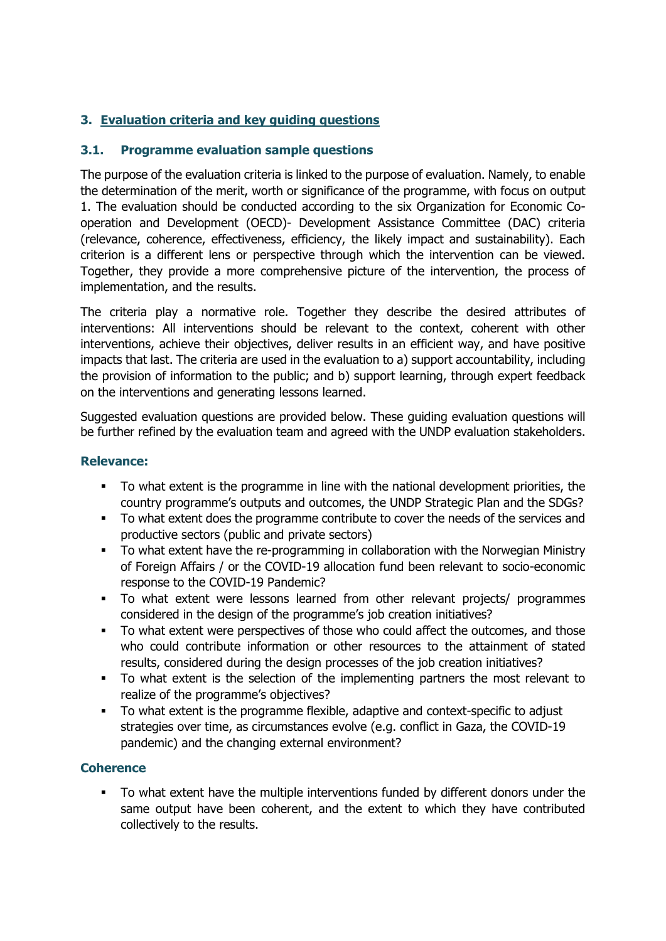## **3. Evaluation criteria and key guiding questions**

## **3.1. Programme evaluation sample questions**

The purpose of the evaluation criteria is linked to the purpose of evaluation. Namely, to enable the determination of the merit, worth or significance of the programme, with focus on output 1. The evaluation should be conducted according to the six Organization for Economic Cooperation and Development (OECD)- Development Assistance Committee (DAC) criteria (relevance, coherence, effectiveness, efficiency, the likely impact and sustainability). Each criterion is a different lens or perspective through which the intervention can be viewed. Together, they provide a more comprehensive picture of the intervention, the process of implementation, and the results.

The criteria play a normative role. Together they describe the desired attributes of interventions: All interventions should be relevant to the context, coherent with other interventions, achieve their objectives, deliver results in an efficient way, and have positive impacts that last. The criteria are used in the evaluation to a) support accountability, including the provision of information to the public; and b) support learning, through expert feedback on the interventions and generating lessons learned.

Suggested evaluation questions are provided below. These guiding evaluation questions will be further refined by the evaluation team and agreed with the UNDP evaluation stakeholders.

## **Relevance:**

- To what extent is the programme in line with the national development priorities, the country programme's outputs and outcomes, the UNDP Strategic Plan and the SDGs?
- To what extent does the programme contribute to cover the needs of the services and productive sectors (public and private sectors)
- To what extent have the re-programming in collaboration with the Norwegian Ministry of Foreign Affairs / or the COVID-19 allocation fund been relevant to socio-economic response to the COVID-19 Pandemic?
- To what extent were lessons learned from other relevant projects/ programmes considered in the design of the programme's job creation initiatives?
- To what extent were perspectives of those who could affect the outcomes, and those who could contribute information or other resources to the attainment of stated results, considered during the design processes of the job creation initiatives?
- To what extent is the selection of the implementing partners the most relevant to realize of the programme's objectives?
- To what extent is the programme flexible, adaptive and context-specific to adjust strategies over time, as circumstances evolve (e.g. conflict in Gaza, the COVID-19 pandemic) and the changing external environment?

#### **Coherence**

▪ To what extent have the multiple interventions funded by different donors under the same output have been coherent, and the extent to which they have contributed collectively to the results.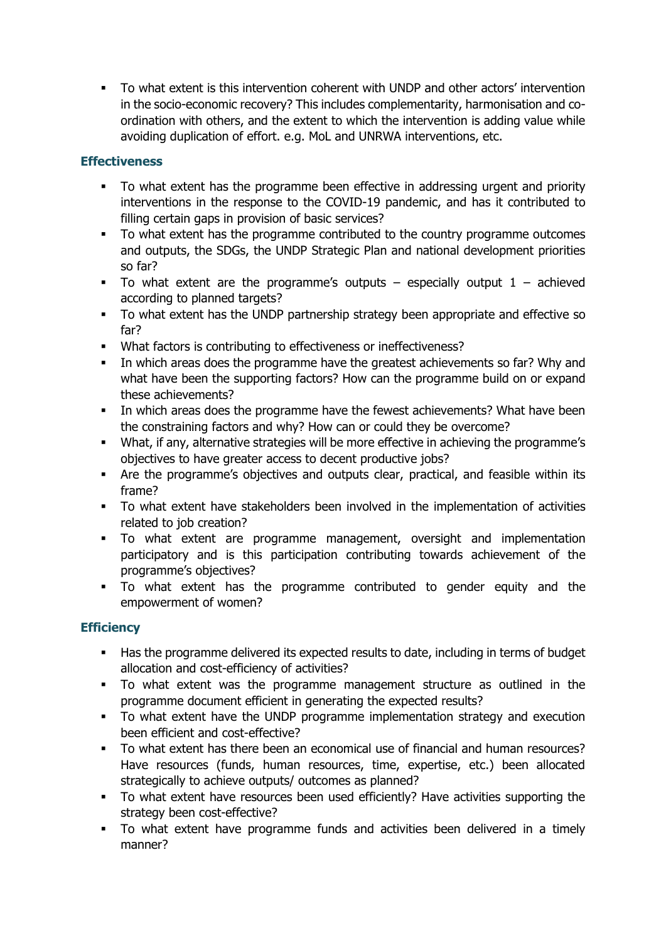▪ To what extent is this intervention coherent with UNDP and other actors' intervention in the socio-economic recovery? This includes complementarity, harmonisation and coordination with others, and the extent to which the intervention is adding value while avoiding duplication of effort. e.g. MoL and UNRWA interventions, etc.

## **Effectiveness**

- To what extent has the programme been effective in addressing urgent and priority interventions in the response to the COVID-19 pandemic, and has it contributed to filling certain gaps in provision of basic services?
- To what extent has the programme contributed to the country programme outcomes and outputs, the SDGs, the UNDP Strategic Plan and national development priorities so far?
- **•** To what extent are the programme's outputs especially output  $1 -$  achieved according to planned targets?
- To what extent has the UNDP partnership strategy been appropriate and effective so far?
- What factors is contributing to effectiveness or ineffectiveness?
- **•** In which areas does the programme have the greatest achievements so far? Why and what have been the supporting factors? How can the programme build on or expand these achievements?
- In which areas does the programme have the fewest achievements? What have been the constraining factors and why? How can or could they be overcome?
- What, if any, alternative strategies will be more effective in achieving the programme's objectives to have greater access to decent productive jobs?
- Are the programme's objectives and outputs clear, practical, and feasible within its frame?
- To what extent have stakeholders been involved in the implementation of activities related to job creation?
- To what extent are programme management, oversight and implementation participatory and is this participation contributing towards achievement of the programme's objectives?
- To what extent has the programme contributed to gender equity and the empowerment of women?

# **Efficiency**

- Has the programme delivered its expected results to date, including in terms of budget allocation and cost-efficiency of activities?
- To what extent was the programme management structure as outlined in the programme document efficient in generating the expected results?
- To what extent have the UNDP programme implementation strategy and execution been efficient and cost-effective?
- To what extent has there been an economical use of financial and human resources? Have resources (funds, human resources, time, expertise, etc.) been allocated strategically to achieve outputs/ outcomes as planned?
- To what extent have resources been used efficiently? Have activities supporting the strategy been cost-effective?
- To what extent have programme funds and activities been delivered in a timely manner?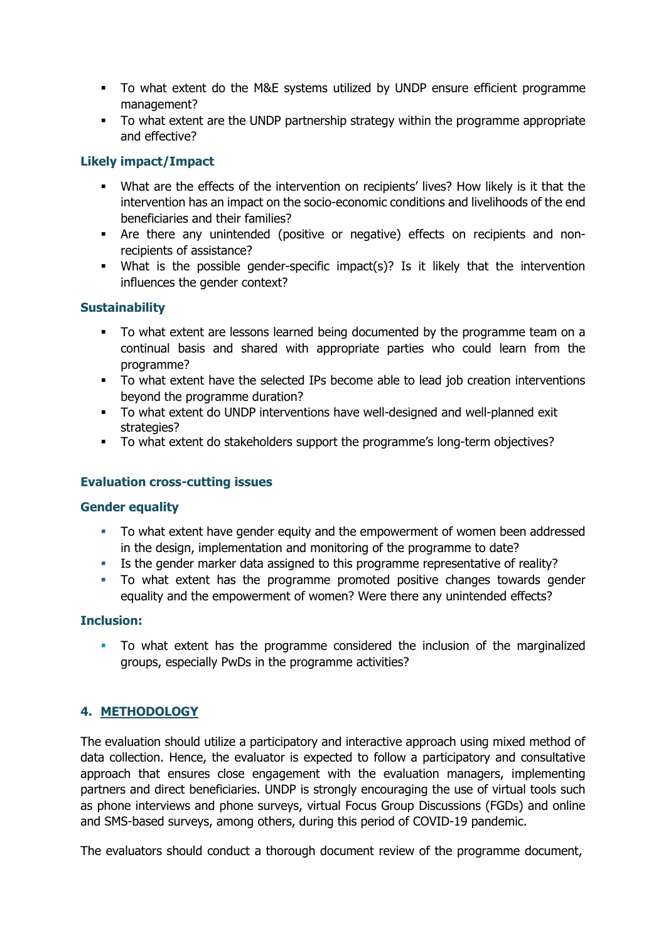- To what extent do the M&E systems utilized by UNDP ensure efficient programme management?
- To what extent are the UNDP partnership strategy within the programme appropriate and effective?

## **Likely impact/Impact**

- What are the effects of the intervention on recipients' lives? How likely is it that the intervention has an impact on the socio-economic conditions and livelihoods of the end beneficiaries and their families?
- Are there any unintended (positive or negative) effects on recipients and nonrecipients of assistance?
- What is the possible gender-specific impact(s)? Is it likely that the intervention influences the gender context?

#### **Sustainability**

- To what extent are lessons learned being documented by the programme team on a continual basis and shared with appropriate parties who could learn from the programme?
- To what extent have the selected IPs become able to lead job creation interventions beyond the programme duration?
- To what extent do UNDP interventions have well-designed and well-planned exit strategies?
- To what extent do stakeholders support the programme's long-term objectives?

#### **Evaluation cross-cutting issues**

#### **Gender equality**

- To what extent have gender equity and the empowerment of women been addressed in the design, implementation and monitoring of the programme to date?
- Is the gender marker data assigned to this programme representative of reality?
- To what extent has the programme promoted positive changes towards gender equality and the empowerment of women? Were there any unintended effects?

#### **Inclusion:**

▪ To what extent has the programme considered the inclusion of the marginalized groups, especially PwDs in the programme activities?

## **4. METHODOLOGY**

The evaluation should utilize a participatory and interactive approach using mixed method of data collection. Hence, the evaluator is expected to follow a participatory and consultative approach that ensures close engagement with the evaluation managers, implementing partners and direct beneficiaries. UNDP is strongly encouraging the use of virtual tools such as phone interviews and phone surveys, virtual Focus Group Discussions (FGDs) and online and SMS-based surveys, among others, during this period of COVID-19 pandemic.

The evaluators should conduct a thorough document review of the programme document,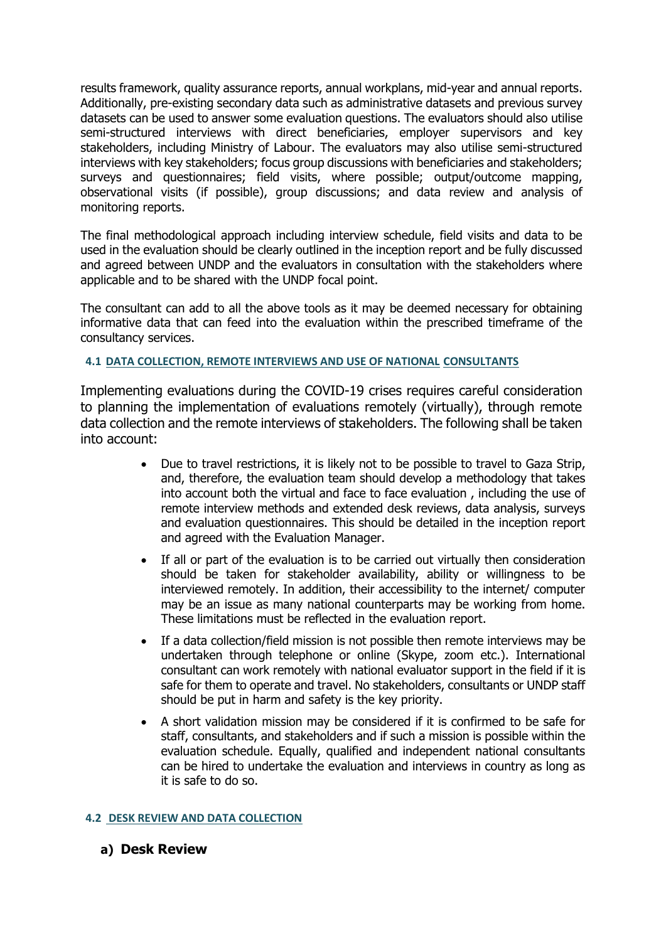results framework, quality assurance reports, annual workplans, mid-year and annual reports. Additionally, pre-existing secondary data such as administrative datasets and previous survey datasets can be used to answer some evaluation questions. The evaluators should also utilise semi-structured interviews with direct beneficiaries, employer supervisors and key stakeholders, including Ministry of Labour. The evaluators may also utilise semi-structured interviews with key stakeholders; focus group discussions with beneficiaries and stakeholders; surveys and questionnaires; field visits, where possible; output/outcome mapping, observational visits (if possible), group discussions; and data review and analysis of monitoring reports.

The final methodological approach including interview schedule, field visits and data to be used in the evaluation should be clearly outlined in the inception report and be fully discussed and agreed between UNDP and the evaluators in consultation with the stakeholders where applicable and to be shared with the UNDP focal point.

The consultant can add to all the above tools as it may be deemed necessary for obtaining informative data that can feed into the evaluation within the prescribed timeframe of the consultancy services.

#### **4.1 DATA COLLECTION, REMOTE INTERVIEWS AND USE OF NATIONAL CONSULTANTS**

Implementing evaluations during the COVID-19 crises requires careful consideration to planning the implementation of evaluations remotely (virtually), through remote data collection and the remote interviews of stakeholders. The following shall be taken into account:

- Due to travel restrictions, it is likely not to be possible to travel to Gaza Strip, and, therefore, the evaluation team should develop a methodology that takes into account both the virtual and face to face evaluation , including the use of remote interview methods and extended desk reviews, data analysis, surveys and evaluation questionnaires. This should be detailed in the inception report and agreed with the Evaluation Manager.
- If all or part of the evaluation is to be carried out virtually then consideration should be taken for stakeholder availability, ability or willingness to be interviewed remotely. In addition, their accessibility to the internet/ computer may be an issue as many national counterparts may be working from home. These limitations must be reflected in the evaluation report.
- If a data collection/field mission is not possible then remote interviews may be undertaken through telephone or online (Skype, zoom etc.). International consultant can work remotely with national evaluator support in the field if it is safe for them to operate and travel. No stakeholders, consultants or UNDP staff should be put in harm and safety is the key priority.
- A short validation mission may be considered if it is confirmed to be safe for staff, consultants, and stakeholders and if such a mission is possible within the evaluation schedule. Equally, qualified and independent national consultants can be hired to undertake the evaluation and interviews in country as long as it is safe to do so.

#### **4.2 DESK REVIEW AND DATA COLLECTION**

#### **a) Desk Review**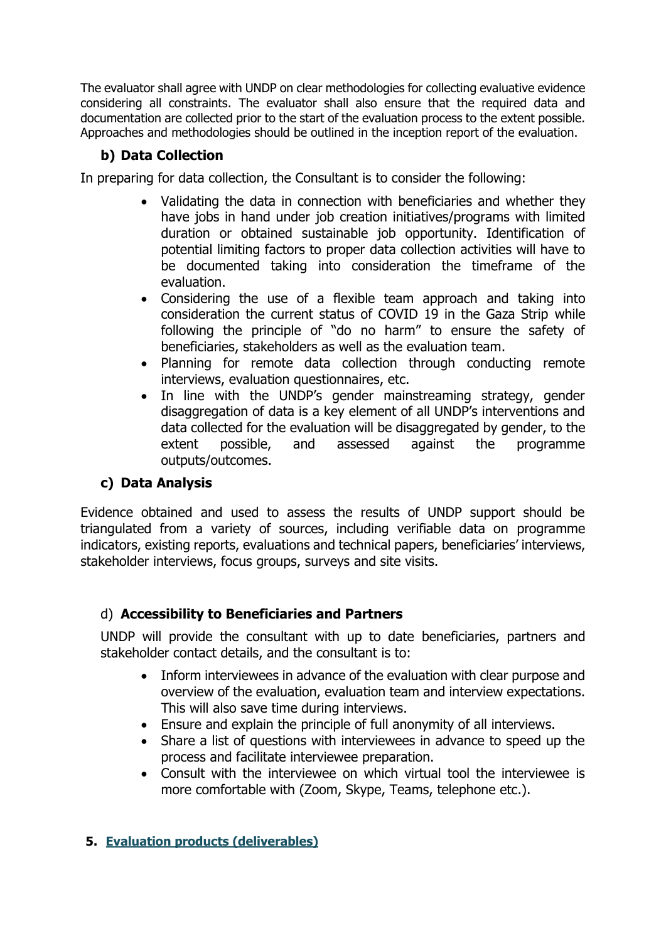The evaluator shall agree with UNDP on clear methodologies for collecting evaluative evidence considering all constraints. The evaluator shall also ensure that the required data and documentation are collected prior to the start of the evaluation process to the extent possible. Approaches and methodologies should be outlined in the inception report of the evaluation.

# **b) Data Collection**

In preparing for data collection, the Consultant is to consider the following:

- Validating the data in connection with beneficiaries and whether they have jobs in hand under job creation initiatives/programs with limited duration or obtained sustainable job opportunity. Identification of potential limiting factors to proper data collection activities will have to be documented taking into consideration the timeframe of the evaluation.
- Considering the use of a flexible team approach and taking into consideration the current status of COVID 19 in the Gaza Strip while following the principle of "do no harm" to ensure the safety of beneficiaries, stakeholders as well as the evaluation team.
- Planning for remote data collection through conducting remote interviews, evaluation questionnaires, etc.
- In line with the UNDP's gender mainstreaming strategy, gender disaggregation of data is a key element of all UNDP's interventions and data collected for the evaluation will be disaggregated by gender, to the extent possible, and assessed against the programme outputs/outcomes.

# **c) Data Analysis**

Evidence obtained and used to assess the results of UNDP support should be triangulated from a variety of sources, including verifiable data on programme indicators, existing reports, evaluations and technical papers, beneficiaries' interviews, stakeholder interviews, focus groups, surveys and site visits.

# d) **Accessibility to Beneficiaries and Partners**

UNDP will provide the consultant with up to date beneficiaries, partners and stakeholder contact details, and the consultant is to:

- Inform interviewees in advance of the evaluation with clear purpose and overview of the evaluation, evaluation team and interview expectations. This will also save time during interviews.
- Ensure and explain the principle of full anonymity of all interviews.
- Share a list of questions with interviewees in advance to speed up the process and facilitate interviewee preparation.
- Consult with the interviewee on which virtual tool the interviewee is more comfortable with (Zoom, Skype, Teams, telephone etc.).

## **5. Evaluation products (deliverables)**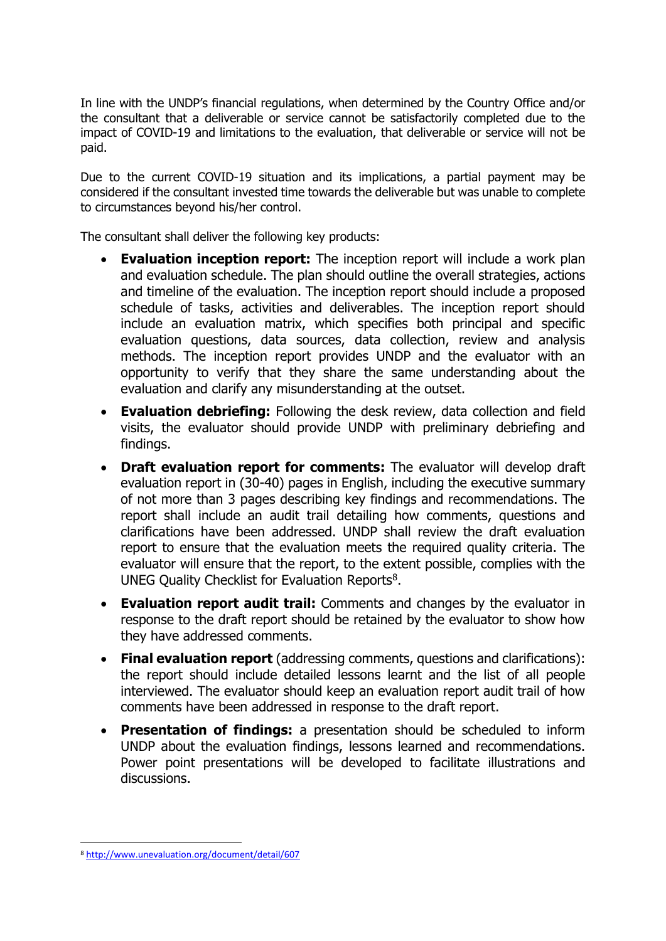In line with the UNDP's financial regulations, when determined by the Country Office and/or the consultant that a deliverable or service cannot be satisfactorily completed due to the impact of COVID-19 and limitations to the evaluation, that deliverable or service will not be paid.

Due to the current COVID-19 situation and its implications, a partial payment may be considered if the consultant invested time towards the deliverable but was unable to complete to circumstances beyond his/her control.

The consultant shall deliver the following key products:

- **Evaluation inception report:** The inception report will include a work plan and evaluation schedule. The plan should outline the overall strategies, actions and timeline of the evaluation. The inception report should include a proposed schedule of tasks, activities and deliverables. The inception report should include an evaluation matrix, which specifies both principal and specific evaluation questions, data sources, data collection, review and analysis methods. The inception report provides UNDP and the evaluator with an opportunity to verify that they share the same understanding about the evaluation and clarify any misunderstanding at the outset.
- **Evaluation debriefing:** Following the desk review, data collection and field visits, the evaluator should provide UNDP with preliminary debriefing and findings.
- **Draft evaluation report for comments:** The evaluator will develop draft evaluation report in (30-40) pages in English, including the executive summary of not more than 3 pages describing key findings and recommendations. The report shall include an audit trail detailing how comments, questions and clarifications have been addressed. UNDP shall review the draft evaluation report to ensure that the evaluation meets the required quality criteria. The evaluator will ensure that the report, to the extent possible, complies with the UNEG Quality Checklist for Evaluation Reports $8$ .
- **Evaluation report audit trail:** Comments and changes by the evaluator in response to the draft report should be retained by the evaluator to show how they have addressed comments.
- **Final evaluation report** (addressing comments, questions and clarifications): the report should include detailed lessons learnt and the list of all people interviewed. The evaluator should keep an evaluation report audit trail of how comments have been addressed in response to the draft report.
- **Presentation of findings:** a presentation should be scheduled to inform UNDP about the evaluation findings, lessons learned and recommendations. Power point presentations will be developed to facilitate illustrations and discussions.

<sup>8</sup> <http://www.unevaluation.org/document/detail/607>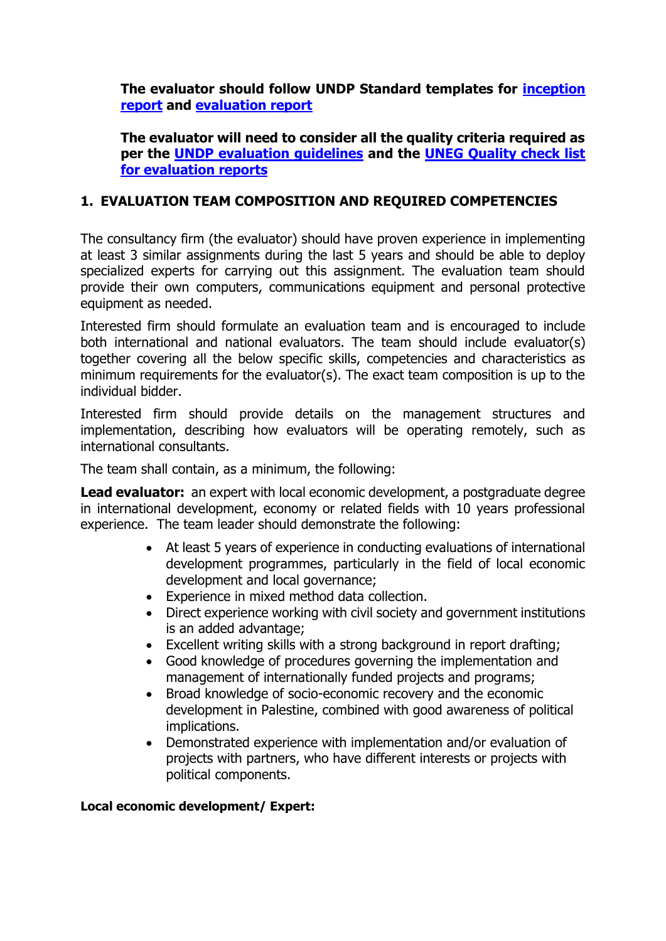**The evaluator should follow UNDP Standard templates for [inception](http://web.undp.org/evaluation/guideline/documents/Template/section-4/Sec%204%20Template%204%20Evaluation%20Inception%20report%20content%20outline.docx)  [report](http://web.undp.org/evaluation/guideline/documents/Template/section-4/Sec%204%20Template%204%20Evaluation%20Inception%20report%20content%20outline.docx) and [evaluation report](http://web.undp.org/evaluation/guideline/documents/Template/section-4/Sec%204%20Template%206%20Standard%20evaluation%20report%20content%20full%20details.docx)**

**The evaluator will need to consider all the quality criteria required as per the [UNDP evaluation guidelines](http://web.undp.org/evaluation/guideline/index.shtml) and the [UNEG Quality check list](http://www.unevaluation.org/document/detail/607)  [for evaluation reports](http://www.unevaluation.org/document/detail/607)**

## **1. EVALUATION TEAM COMPOSITION AND REQUIRED COMPETENCIES**

The consultancy firm (the evaluator) should have proven experience in implementing at least 3 similar assignments during the last 5 years and should be able to deploy specialized experts for carrying out this assignment. The evaluation team should provide their own computers, communications equipment and personal protective equipment as needed.

Interested firm should formulate an evaluation team and is encouraged to include both international and national evaluators. The team should include evaluator(s) together covering all the below specific skills, competencies and characteristics as minimum requirements for the evaluator(s). The exact team composition is up to the individual bidder.

Interested firm should provide details on the management structures and implementation, describing how evaluators will be operating remotely, such as international consultants.

The team shall contain, as a minimum, the following:

**Lead evaluator:** an expert with local economic development, a postgraduate degree in international development, economy or related fields with 10 years professional experience. The team leader should demonstrate the following:

- At least 5 years of experience in conducting evaluations of international development programmes, particularly in the field of local economic development and local governance;
- Experience in mixed method data collection.
- Direct experience working with civil society and government institutions is an added advantage;
- Excellent writing skills with a strong background in report drafting;
- Good knowledge of procedures governing the implementation and management of internationally funded projects and programs;
- Broad knowledge of socio-economic recovery and the economic development in Palestine, combined with good awareness of political implications.
- Demonstrated experience with implementation and/or evaluation of projects with partners, who have different interests or projects with political components.

#### **Local economic development/ Expert:**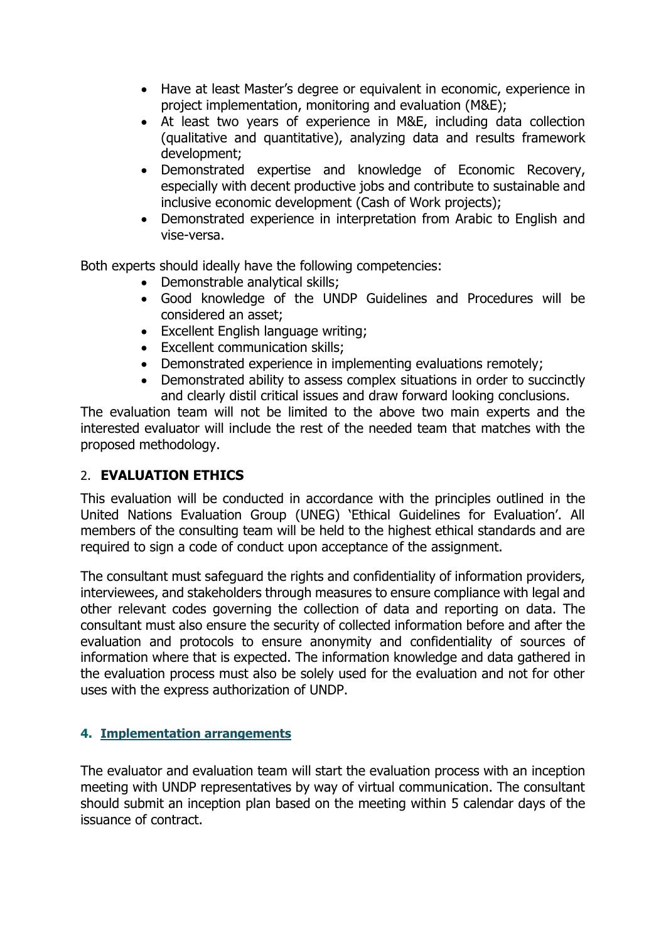- Have at least Master's degree or equivalent in economic, experience in project implementation, monitoring and evaluation (M&E);
- At least two years of experience in M&E, including data collection (qualitative and quantitative), analyzing data and results framework development;
- Demonstrated expertise and knowledge of Economic Recovery, especially with decent productive jobs and contribute to sustainable and inclusive economic development (Cash of Work projects);
- Demonstrated experience in interpretation from Arabic to English and vise-versa.

Both experts should ideally have the following competencies:

- Demonstrable analytical skills;
- Good knowledge of the UNDP Guidelines and Procedures will be considered an asset;
- Excellent English language writing;
- Excellent communication skills;
- Demonstrated experience in implementing evaluations remotely;
- Demonstrated ability to assess complex situations in order to succinctly and clearly distil critical issues and draw forward looking conclusions.

The evaluation team will not be limited to the above two main experts and the interested evaluator will include the rest of the needed team that matches with the proposed methodology.

# 2. **EVALUATION ETHICS**

This evaluation will be conducted in accordance with the principles outlined in the United Nations Evaluation Group (UNEG) 'Ethical Guidelines for Evaluation'. All members of the consulting team will be held to the highest ethical standards and are required to sign a code of conduct upon acceptance of the assignment.

The consultant must safeguard the rights and confidentiality of information providers, interviewees, and stakeholders through measures to ensure compliance with legal and other relevant codes governing the collection of data and reporting on data. The consultant must also ensure the security of collected information before and after the evaluation and protocols to ensure anonymity and confidentiality of sources of information where that is expected. The information knowledge and data gathered in the evaluation process must also be solely used for the evaluation and not for other uses with the express authorization of UNDP.

## **4. Implementation arrangements**

The evaluator and evaluation team will start the evaluation process with an inception meeting with UNDP representatives by way of virtual communication. The consultant should submit an inception plan based on the meeting within 5 calendar days of the issuance of contract.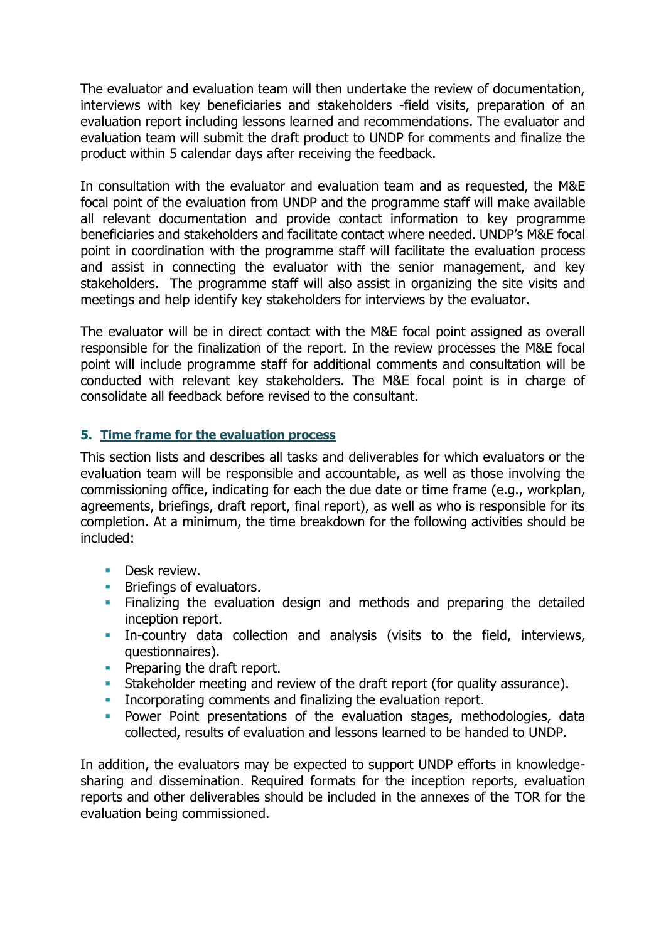The evaluator and evaluation team will then undertake the review of documentation, interviews with key beneficiaries and stakeholders -field visits, preparation of an evaluation report including lessons learned and recommendations. The evaluator and evaluation team will submit the draft product to UNDP for comments and finalize the product within 5 calendar days after receiving the feedback.

In consultation with the evaluator and evaluation team and as requested, the M&E focal point of the evaluation from UNDP and the programme staff will make available all relevant documentation and provide contact information to key programme beneficiaries and stakeholders and facilitate contact where needed. UNDP's M&E focal point in coordination with the programme staff will facilitate the evaluation process and assist in connecting the evaluator with the senior management, and key stakeholders. The programme staff will also assist in organizing the site visits and meetings and help identify key stakeholders for interviews by the evaluator.

The evaluator will be in direct contact with the M&E focal point assigned as overall responsible for the finalization of the report. In the review processes the M&E focal point will include programme staff for additional comments and consultation will be conducted with relevant key stakeholders. The M&E focal point is in charge of consolidate all feedback before revised to the consultant.

## **5. Time frame for the evaluation process**

This section lists and describes all tasks and deliverables for which evaluators or the evaluation team will be responsible and accountable, as well as those involving the commissioning office, indicating for each the due date or time frame (e.g., workplan, agreements, briefings, draft report, final report), as well as who is responsible for its completion. At a minimum, the time breakdown for the following activities should be included:

- **Desk review.**
- **EXECUTE:** Briefings of evaluators.
- **EXTE:** Finalizing the evaluation design and methods and preparing the detailed inception report.
- **·** In-country data collection and analysis (visits to the field, interviews, questionnaires).
- **•** Preparing the draft report.
- Stakeholder meeting and review of the draft report (for quality assurance).
- **Incorporating comments and finalizing the evaluation report.**
- **•** Power Point presentations of the evaluation stages, methodologies, data collected, results of evaluation and lessons learned to be handed to UNDP.

In addition, the evaluators may be expected to support UNDP efforts in knowledgesharing and dissemination. Required formats for the inception reports, evaluation reports and other deliverables should be included in the annexes of the TOR for the evaluation being commissioned.